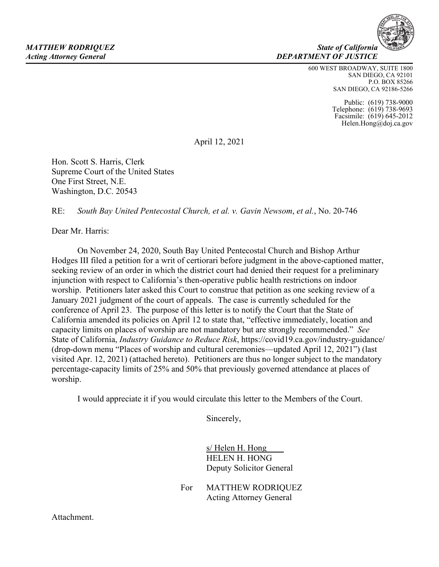600 WEST BROADWAY, SUITE 1800 SAN DIEGO, CA 92101 P.O. BOX 85266 SAN DIEGO, CA 92186-5266

> Public: (619) 738-9000 Telephone: (619) 738-9693 Facsimile: (619) 645-2012 Helen.Hong@doj.ca.gov

April 12, 2021

Hon. Scott S. Harris, Clerk Supreme Court of the United States One First Street, N.E. Washington, D.C. 20543

RE: *South Bay United Pentecostal Church, et al. v. Gavin Newsom*, *et al.*, No. 20-746

Dear Mr. Harris:

 On November 24, 2020, South Bay United Pentecostal Church and Bishop Arthur Hodges III filed a petition for a writ of certiorari before judgment in the above-captioned matter, seeking review of an order in which the district court had denied their request for a preliminary injunction with respect to California's then-operative public health restrictions on indoor worship. Petitioners later asked this Court to construe that petition as one seeking review of a January 2021 judgment of the court of appeals. The case is currently scheduled for the conference of April 23. The purpose of this letter is to notify the Court that the State of California amended its policies on April 12 to state that, "effective immediately, location and capacity limits on places of worship are not mandatory but are strongly recommended." *See*  State of California, *Industry Guidance to Reduce Risk*, https://covid19.ca.gov/industry-guidance/ (drop-down menu "Places of worship and cultural ceremonies—updated April 12, 2021") (last visited Apr. 12, 2021) (attached hereto). Petitioners are thus no longer subject to the mandatory percentage-capacity limits of 25% and 50% that previously governed attendance at places of worship.

I would appreciate it if you would circulate this letter to the Members of the Court.

Sincerely,

 s/ Helen H. Hong HELEN H. HONG Deputy Solicitor General

For MATTHEW RODRIQUEZ Acting Attorney General

Attachment.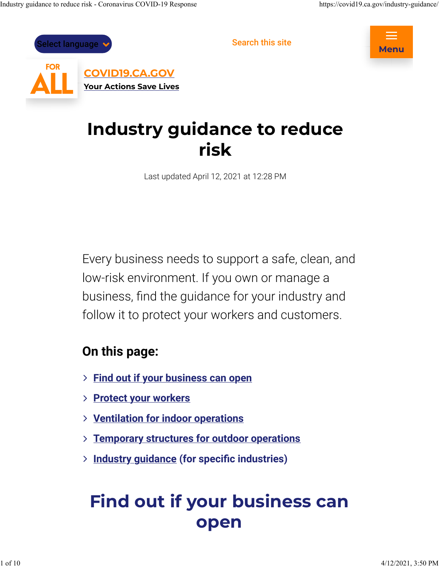



# Industry guidance to reduce risk

Last updated April 12, 2021 at 12:28 PM

Every business needs to support a safe, clean, and low-risk environment. If you own or manage a business, find the guidance for your industry and follow it to protect your workers and customers.

## On this page:

- > Find out if your business can open
- > Protect your workers
- > Ventilation for indoor operations
- > Temporary structures for outdoor operations
- > Industry guidance (for specific industries)

# Find out if your business can open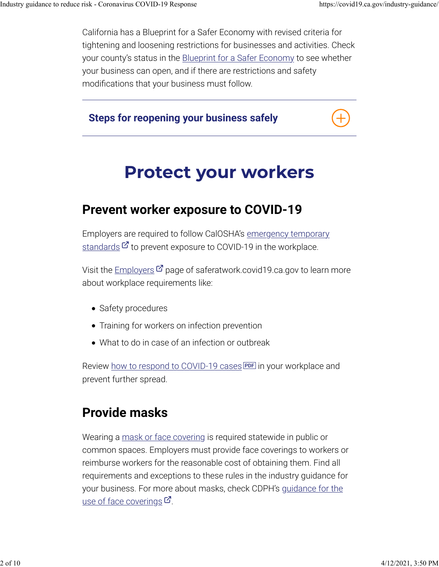California has a Blueprint for a Safer Economy with revised criteria for tightening and loosening restrictions for businesses and activities. Check your county's status in the **Blueprint for a Safer Economy** to see whether your business can open, and if there are restrictions and safety modifications that your business must follow.

Steps for reopening your business safely

## Protect your workers

## Prevent worker exposure to COVID-19

Employers are required to follow CalOSHA's emergency temporary <u>standards</u>  $\mathcal G$  to prevent exposure to COVID-19 in the workplace.

Visit the <u>Employers</u>  ${\mathcal{G}}$  page of saferatwork.covid19.ca.gov to learn more about workplace requirements like:

- Safety procedures
- Training for workers on infection prevention
- What to do in case of an infection or outbreak

Review <u>how to respond to COVID-19 cases EDFI</u> in your workplace and prevent further spread.

## Provide masks

Wearing a mask or face covering is required statewide in public or common spaces. Employers must provide face coverings to workers or reimburse workers for the reasonable cost of obtaining them. Find all requirements and exceptions to these rules in the industry guidance for your business. For more about masks, check CDPH's guidance for the <u>use of face coverings</u>  ${\mathcal C}$  .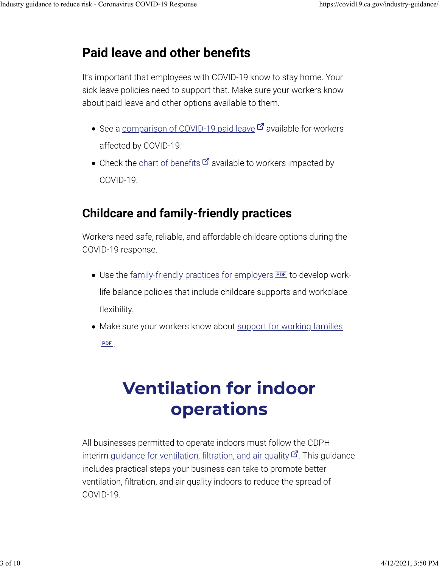## Paid leave and other benefits

It's important that employees with COVID-19 know to stay home. Your sick leave policies need to support that. Make sure your workers know about paid leave and other options available to them.

- See a <u>comparison of COVID-19 paid leave</u>  $\boldsymbol{\mathcal{C}}$  available for workers affected by COVID-19.
- Check the chart of benefits  $G$  available to workers impacted by COVID-19.

## Childcare and family-friendly practices

Workers need safe, reliable, and affordable childcare options during the COVID-19 response.

- Use the <u>family-friendly practices for employers</u> **PDF** to develop worklife balance policies that include childcare supports and workplace flexibility.
- Make sure your workers know about support for working families . PDF

# Ventilation for indoor operations

All businesses permitted to operate indoors must follow the CDPH interim g<u>uidance for ventilation, filtration, and air quality</u>  $\mathcal{C}$ . This guidance includes practical steps your business can take to promote better ventilation, filtration, and air quality indoors to reduce the spread of COVID-19.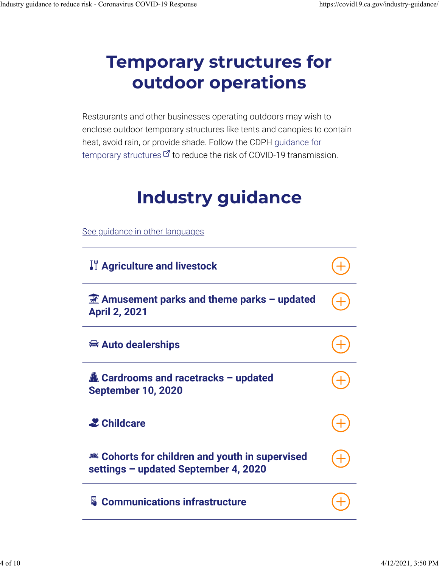# Temporary structures for outdoor operations

Restaurants and other businesses operating outdoors may wish to enclose outdoor temporary structures like tents and canopies to contain heat, avoid rain, or provide shade. Follow the CDPH guidance for  $\overline{\text{temporary structures}}$   $\mathcal G$  to reduce the risk of COVID-19 transmission.

# Industry guidance

See guidance in other languages

| If Agriculture and livestock                                                             |  |
|------------------------------------------------------------------------------------------|--|
| $\mathbb{H}$ Amusement parks and theme parks – updated<br><b>April 2, 2021</b>           |  |
| <b>■ Auto dealerships</b>                                                                |  |
| <b>A</b> Cardrooms and racetracks - updated<br><b>September 10, 2020</b>                 |  |
| <b>2</b> Childcare                                                                       |  |
| Let Cohorts for children and youth in supervised<br>settings - updated September 4, 2020 |  |
| <b>&amp; Communications infrastructure</b>                                               |  |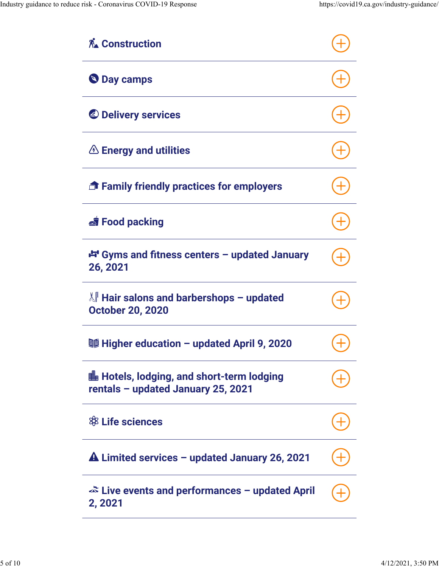| <b>A∡ Construction</b>                                                                 |  |
|----------------------------------------------------------------------------------------|--|
| <b>Day camps</b>                                                                       |  |
| <b>&amp; Delivery services</b>                                                         |  |
| $\triangle$ Energy and utilities                                                       |  |
| <b>T</b> Family friendly practices for employers                                       |  |
| Si Food packing                                                                        |  |
| 中 Gyms and fitness centers - updated January<br>26, 2021                               |  |
| <sup>∦</sup> Hair salons and barbershops - updated<br><b>October 20, 2020</b>          |  |
| 鬘 Higher education - updated April 9, 2020                                             |  |
| <b>■ Hotels, lodging, and short-term lodging</b><br>rentals - updated January 25, 2021 |  |
| \$8 Life sciences                                                                      |  |
| $\triangle$ Limited services – updated January 26, 2021                                |  |
| $\approx$ Live events and performances – updated April<br>2, 2021                      |  |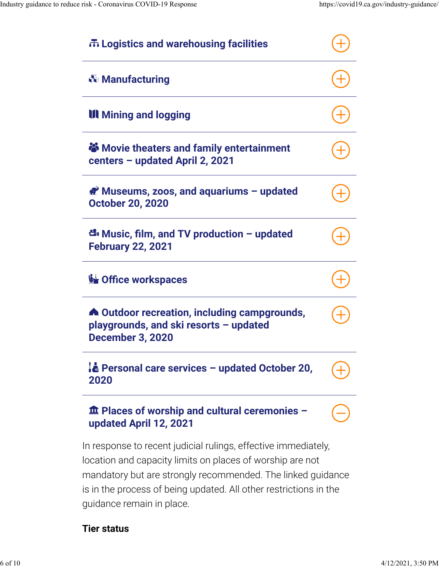| 市 Logistics and warehousing facilities                                                                                                                                                                                                                                                       |  |
|----------------------------------------------------------------------------------------------------------------------------------------------------------------------------------------------------------------------------------------------------------------------------------------------|--|
| <b><i>☆</i></b> Manufacturing                                                                                                                                                                                                                                                                |  |
| <b>III</b> Mining and logging                                                                                                                                                                                                                                                                |  |
| <b>S</b> Movie theaters and family entertainment<br>centers - updated April 2, 2021                                                                                                                                                                                                          |  |
| Museums, zoos, and aquariums - updated<br><b>October 20, 2020</b>                                                                                                                                                                                                                            |  |
| සී Music, film, and TV production – updated<br><b>February 22, 2021</b>                                                                                                                                                                                                                      |  |
| <b>Solution Office workspaces</b>                                                                                                                                                                                                                                                            |  |
| <b>A</b> Outdoor recreation, including campgrounds,<br>playgrounds, and ski resorts - updated<br><b>December 3, 2020</b>                                                                                                                                                                     |  |
| <b>E</b> Personal care services - updated October 20,<br>2020                                                                                                                                                                                                                                |  |
| <b>The Places of worship and cultural ceremonies -</b><br>updated April 12, 2021                                                                                                                                                                                                             |  |
| In response to recent judicial rulings, effective immediately,<br>location and capacity limits on places of worship are not<br>mandatory but are strongly recommended. The linked guidance<br>is in the process of being updated. All other restrictions in the<br>guidance remain in place. |  |

#### Tier status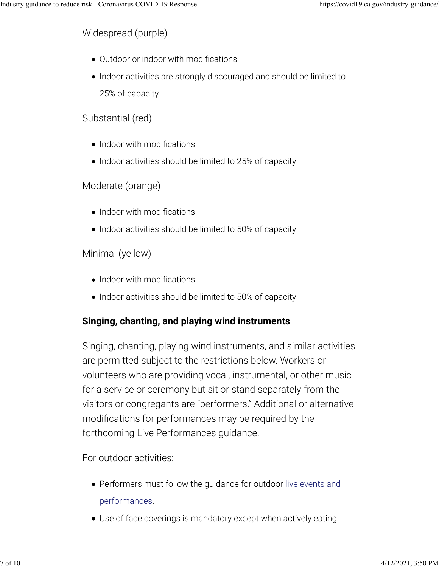Widespread (purple)

- Outdoor or indoor with modifications
- Indoor activities are strongly discouraged and should be limited to 25% of capacity

#### Substantial (red)

- Indoor with modifications
- Indoor activities should be limited to 25% of capacity

#### Moderate (orange)

- Indoor with modifications
- Indoor activities should be limited to 50% of capacity

#### Minimal (yellow)

- Indoor with modifications
- Indoor activities should be limited to 50% of capacity

#### Singing, chanting, and playing wind instruments

Singing, chanting, playing wind instruments, and similar activities are permitted subject to the restrictions below. Workers or volunteers who are providing vocal, instrumental, or other music for a service or ceremony but sit or stand separately from the visitors or congregants are "performers." Additional or alternative modifications for performances may be required by the forthcoming Live Performances guidance.

For outdoor activities:

- Performers must follow the guidance for outdoor live events and performances.
- Use of face coverings is mandatory except when actively eating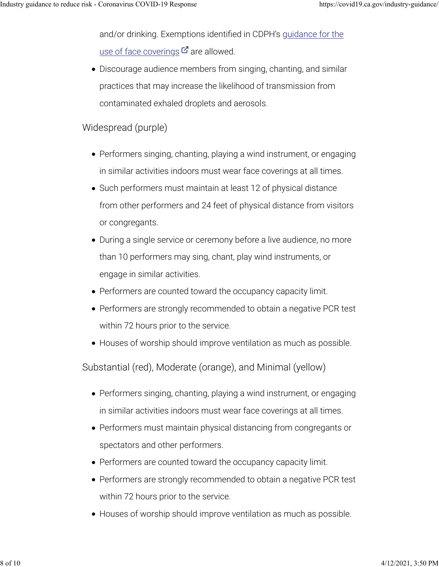and/or drinking. Exemptions identified in CDPH's guidance for the <u>use of face coverings</u>  ${\mathcal C}$  are allowed.

Discourage audience members from singing, chanting, and similar practices that may increase the likelihood of transmission from contaminated exhaled droplets and aerosols.

Widespread (purple)

- Performers singing, chanting, playing a wind instrument, or engaging in similar activities indoors must wear face coverings at all times.
- Such performers must maintain at least 12 of physical distance from other performers and 24 feet of physical distance from visitors or congregants.
- During a single service or ceremony before a live audience, no more than 10 performers may sing, chant, play wind instruments, or engage in similar activities.
- Performers are counted toward the occupancy capacity limit.
- Performers are strongly recommended to obtain a negative PCR test within 72 hours prior to the service.
- Houses of worship should improve ventilation as much as possible.

Substantial (red), Moderate (orange), and Minimal (yellow)

- Performers singing, chanting, playing a wind instrument, or engaging in similar activities indoors must wear face coverings at all times.
- Performers must maintain physical distancing from congregants or spectators and other performers.
- Performers are counted toward the occupancy capacity limit.
- Performers are strongly recommended to obtain a negative PCR test within 72 hours prior to the service.
- Houses of worship should improve ventilation as much as possible.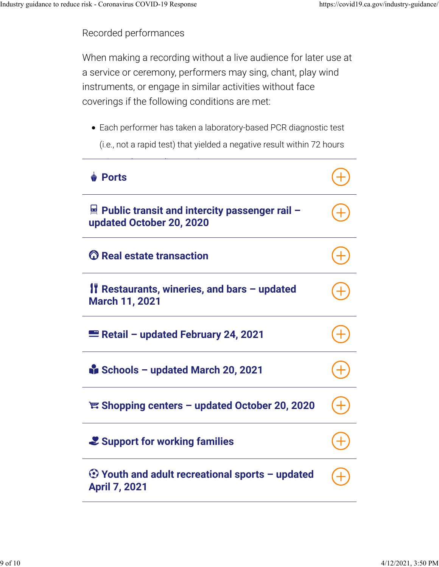Recorded performances

When making a recording without a live audience for later use at a service or ceremony, performers may sing, chant, play wind instruments, or engage in similar activities without face coverings if the following conditions are met:

Each performer has taken a laboratory-based PCR diagnostic test (i.e., not a rapid test) that yielded a negative result within 72 hours